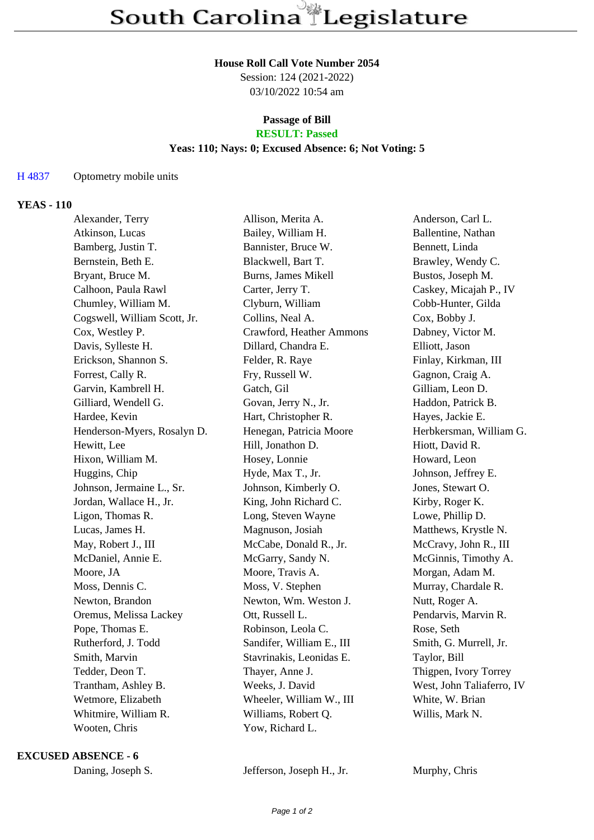#### **House Roll Call Vote Number 2054**

Session: 124 (2021-2022) 03/10/2022 10:54 am

# **Passage of Bill**

# **RESULT: Passed**

## **Yeas: 110; Nays: 0; Excused Absence: 6; Not Voting: 5**

### H 4837 Optometry mobile units

### **YEAS - 110**

| Alexander, Terry             | Allison, Merita A.        | Anderson, Carl L.         |
|------------------------------|---------------------------|---------------------------|
| Atkinson, Lucas              | Bailey, William H.        | Ballentine, Nathan        |
| Bamberg, Justin T.           | Bannister, Bruce W.       | Bennett, Linda            |
| Bernstein, Beth E.           | Blackwell, Bart T.        | Brawley, Wendy C.         |
| Bryant, Bruce M.             | Burns, James Mikell       | Bustos, Joseph M.         |
| Calhoon, Paula Rawl          | Carter, Jerry T.          | Caskey, Micajah P., IV    |
| Chumley, William M.          | Clyburn, William          | Cobb-Hunter, Gilda        |
| Cogswell, William Scott, Jr. | Collins, Neal A.          | Cox, Bobby J.             |
| Cox, Westley P.              | Crawford, Heather Ammons  | Dabney, Victor M.         |
| Davis, Sylleste H.           | Dillard, Chandra E.       | Elliott, Jason            |
| Erickson, Shannon S.         | Felder, R. Raye           | Finlay, Kirkman, III      |
| Forrest, Cally R.            | Fry, Russell W.           | Gagnon, Craig A.          |
| Garvin, Kambrell H.          | Gatch, Gil                | Gilliam, Leon D.          |
| Gilliard, Wendell G.         | Govan, Jerry N., Jr.      | Haddon, Patrick B.        |
| Hardee, Kevin                | Hart, Christopher R.      | Hayes, Jackie E.          |
| Henderson-Myers, Rosalyn D.  | Henegan, Patricia Moore   | Herbkersman, William G.   |
| Hewitt, Lee                  | Hill, Jonathon D.         | Hiott, David R.           |
| Hixon, William M.            | Hosey, Lonnie             | Howard, Leon              |
| Huggins, Chip                | Hyde, Max T., Jr.         | Johnson, Jeffrey E.       |
| Johnson, Jermaine L., Sr.    | Johnson, Kimberly O.      | Jones, Stewart O.         |
| Jordan, Wallace H., Jr.      | King, John Richard C.     | Kirby, Roger K.           |
| Ligon, Thomas R.             | Long, Steven Wayne        | Lowe, Phillip D.          |
| Lucas, James H.              | Magnuson, Josiah          | Matthews, Krystle N.      |
| May, Robert J., III          | McCabe, Donald R., Jr.    | McCravy, John R., III     |
| McDaniel, Annie E.           | McGarry, Sandy N.         | McGinnis, Timothy A.      |
| Moore, JA                    | Moore, Travis A.          | Morgan, Adam M.           |
| Moss, Dennis C.              | Moss, V. Stephen          | Murray, Chardale R.       |
| Newton, Brandon              | Newton, Wm. Weston J.     | Nutt, Roger A.            |
| Oremus, Melissa Lackey       | Ott, Russell L.           | Pendarvis, Marvin R.      |
| Pope, Thomas E.              | Robinson, Leola C.        | Rose, Seth                |
| Rutherford, J. Todd          | Sandifer, William E., III | Smith, G. Murrell, Jr.    |
| Smith, Marvin                | Stavrinakis, Leonidas E.  | Taylor, Bill              |
| Tedder, Deon T.              | Thayer, Anne J.           | Thigpen, Ivory Torrey     |
| Trantham, Ashley B.          | Weeks, J. David           | West, John Taliaferro, IV |
| Wetmore, Elizabeth           | Wheeler, William W., III  | White, W. Brian           |
| Whitmire, William R.         | Williams, Robert Q.       | Willis, Mark N.           |
| Wooten, Chris                | Yow, Richard L.           |                           |
|                              |                           |                           |

#### **EXCUSED ABSENCE - 6**

| Daning, Joseph S. |
|-------------------|
|-------------------|

Jefferson, Joseph H., Jr. Murphy, Chris